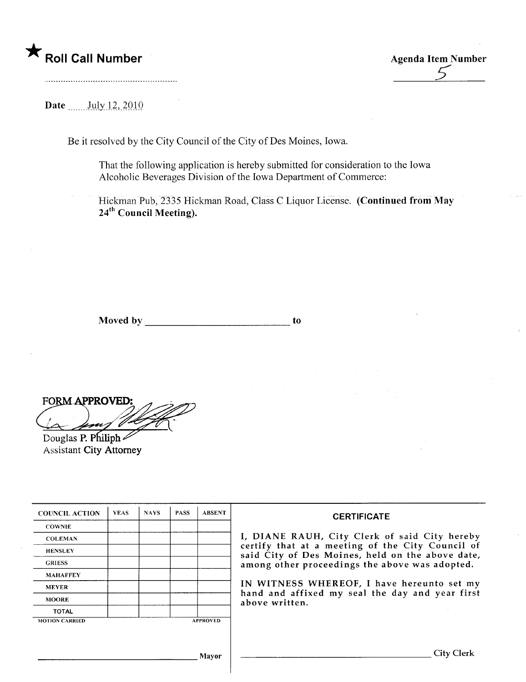\* Roll Call Number Agenda Item Number Agenda Item Number Agenda Item Number

Date \_\_\_\_\_ July 12, 2010

Be it resolved by the City Council of the City of Des Moines, Iowa.

That the following application is hereby submitted for consideration to the Iowa Alcoholic Beverages Division of the Iowa Department of Commerce:

Hickman Pub, 2335 Hickman Road, Class C Liquor License. (Continued from May 24<sup>th</sup> Council Meeting).

Moved by to the contract of the contract of the contract of the contract of the contract of the contract of the contract of the contract of the contract of the contract of the contract of the contract of the contract of th

FORM APPROVED:

Douglas P. Philiph $\geq$ Assistant City Attorney

| <b>COUNCIL ACTION</b> | <b>YEAS</b> | <b>NAYS</b> | <b>PASS</b> | <b>ABSENT</b>   | <b>CERTIFICATE</b>                                                                                                                                                |  |  |
|-----------------------|-------------|-------------|-------------|-----------------|-------------------------------------------------------------------------------------------------------------------------------------------------------------------|--|--|
| <b>COWNIE</b>         |             |             |             |                 |                                                                                                                                                                   |  |  |
| <b>COLEMAN</b>        |             |             |             |                 | I, DIANE RAUH, City Clerk of said City hereby                                                                                                                     |  |  |
| <b>HENSLEY</b>        |             |             |             |                 | certify that at a meeting of the City Council of<br>said City of Des Moines, held on the above date,                                                              |  |  |
| <b>GRIESS</b>         |             |             |             |                 | among other proceedings the above was adopted.<br>IN WITNESS WHEREOF, I have hereunto set my<br>hand and affixed my seal the day and year first<br>above written. |  |  |
| <b>MAHAFFEY</b>       |             |             |             |                 |                                                                                                                                                                   |  |  |
| <b>MEYER</b>          |             |             |             |                 |                                                                                                                                                                   |  |  |
| <b>MOORE</b>          |             |             |             |                 |                                                                                                                                                                   |  |  |
| <b>TOTAL</b>          |             |             |             |                 |                                                                                                                                                                   |  |  |
| <b>MOTION CARRIED</b> |             |             |             | <b>APPROVED</b> |                                                                                                                                                                   |  |  |

Mayor City Clerk